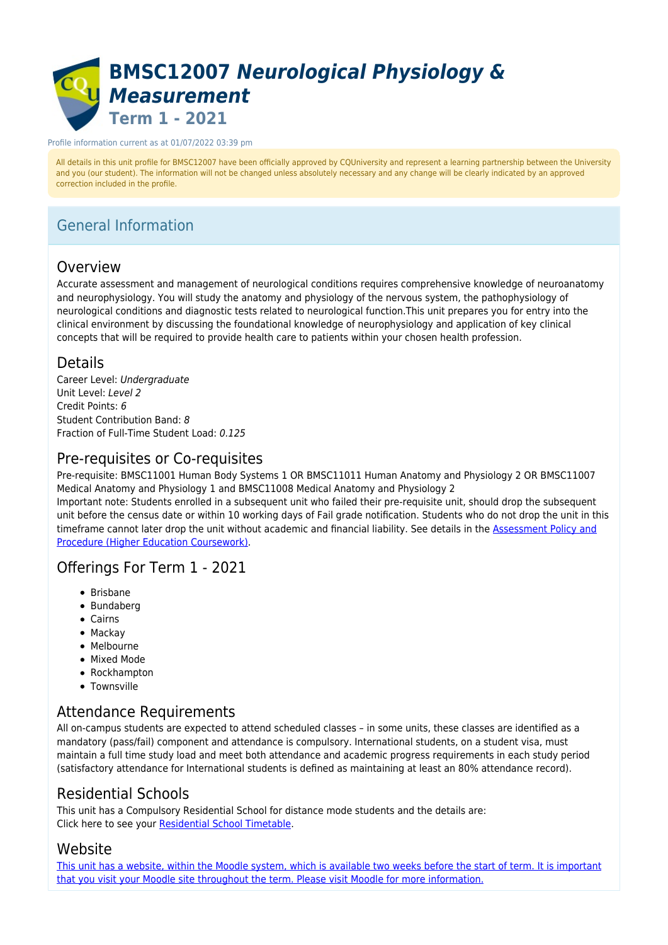# **BMSC12007** *Neurological Physiology & Measurement* **Term 1 - 2021**

#### Profile information current as at 01/07/2022 03:39 pm

All details in this unit profile for BMSC12007 have been officially approved by CQUniversity and represent a learning partnership between the University and you (our student). The information will not be changed unless absolutely necessary and any change will be clearly indicated by an approved correction included in the profile.

# General Information

# Overview

Accurate assessment and management of neurological conditions requires comprehensive knowledge of neuroanatomy and neurophysiology. You will study the anatomy and physiology of the nervous system, the pathophysiology of neurological conditions and diagnostic tests related to neurological function.This unit prepares you for entry into the clinical environment by discussing the foundational knowledge of neurophysiology and application of key clinical concepts that will be required to provide health care to patients within your chosen health profession.

# Details

Career Level: Undergraduate Unit Level: Level 2 Credit Points: 6 Student Contribution Band: 8 Fraction of Full-Time Student Load: 0.125

# Pre-requisites or Co-requisites

Pre-requisite: BMSC11001 Human Body Systems 1 OR BMSC11011 Human Anatomy and Physiology 2 OR BMSC11007 Medical Anatomy and Physiology 1 and BMSC11008 Medical Anatomy and Physiology 2 Important note: Students enrolled in a subsequent unit who failed their pre-requisite unit, should drop the subsequent unit before the census date or within 10 working days of Fail grade notification. Students who do not drop the unit in this

timeframe cannot later drop the unit without academic and financial liability. See details in the [Assessment Policy and](https://www.cqu.edu.au/policy) [Procedure \(Higher Education Coursework\)](https://www.cqu.edu.au/policy).

# Offerings For Term 1 - 2021

- Brisbane
- Bundaberg
- Cairns
- Mackay
- Melbourne
- Mixed Mode
- Rockhampton
- Townsville

# Attendance Requirements

All on-campus students are expected to attend scheduled classes – in some units, these classes are identified as a mandatory (pass/fail) component and attendance is compulsory. International students, on a student visa, must maintain a full time study load and meet both attendance and academic progress requirements in each study period (satisfactory attendance for International students is defined as maintaining at least an 80% attendance record).

# Residential Schools

This unit has a Compulsory Residential School for distance mode students and the details are: Click here to see your [Residential School Timetable](https://handbook.cqu.edu.au/resschools/index).

# Website

[This unit has a website, within the Moodle system, which is available two weeks before the start of term. It is important](https://moodle.cqu.edu.au) [that you visit your Moodle site throughout the term. Please visit Moodle for more information.](https://moodle.cqu.edu.au)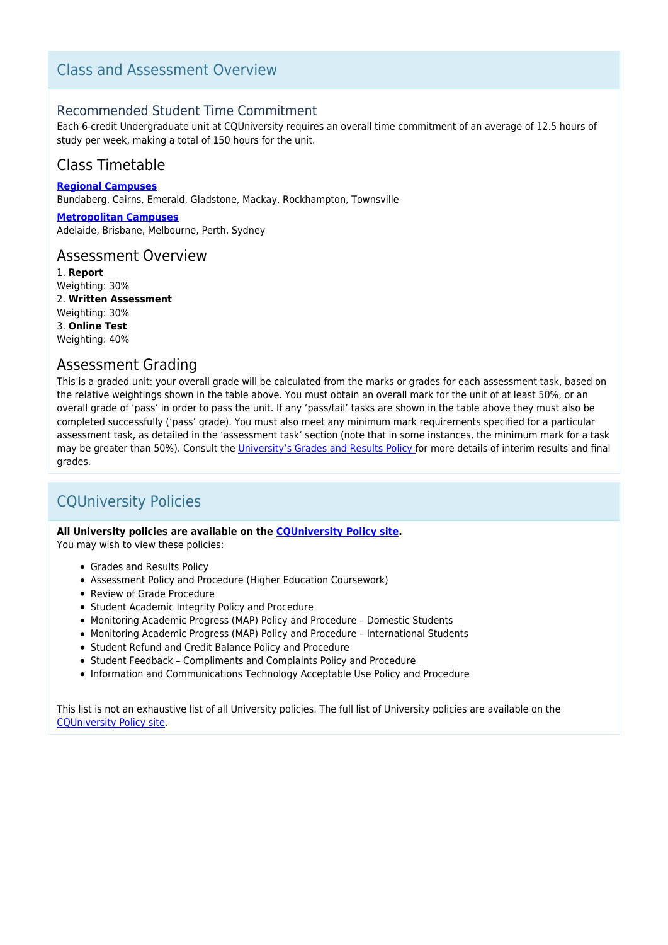# Class and Assessment Overview

# Recommended Student Time Commitment

Each 6-credit Undergraduate unit at CQUniversity requires an overall time commitment of an average of 12.5 hours of study per week, making a total of 150 hours for the unit.

# Class Timetable

**[Regional Campuses](https://handbook.cqu.edu.au/facet/timetables)** Bundaberg, Cairns, Emerald, Gladstone, Mackay, Rockhampton, Townsville

**[Metropolitan Campuses](https://handbook.cqu.edu.au/facet/timetables)** Adelaide, Brisbane, Melbourne, Perth, Sydney

# Assessment Overview

1. **Report** Weighting: 30% 2. **Written Assessment** Weighting: 30% 3. **Online Test** Weighting: 40%

# Assessment Grading

This is a graded unit: your overall grade will be calculated from the marks or grades for each assessment task, based on the relative weightings shown in the table above. You must obtain an overall mark for the unit of at least 50%, or an overall grade of 'pass' in order to pass the unit. If any 'pass/fail' tasks are shown in the table above they must also be completed successfully ('pass' grade). You must also meet any minimum mark requirements specified for a particular assessment task, as detailed in the 'assessment task' section (note that in some instances, the minimum mark for a task may be greater than 50%). Consult the [University's Grades and Results Policy](https://www.cqu.edu.au/policy) for more details of interim results and final grades.

# CQUniversity Policies

# **All University policies are available on the [CQUniversity Policy site.](https://policy.cqu.edu.au/)**

You may wish to view these policies:

- Grades and Results Policy
- Assessment Policy and Procedure (Higher Education Coursework)
- Review of Grade Procedure
- Student Academic Integrity Policy and Procedure
- Monitoring Academic Progress (MAP) Policy and Procedure Domestic Students
- Monitoring Academic Progress (MAP) Policy and Procedure International Students
- Student Refund and Credit Balance Policy and Procedure
- Student Feedback Compliments and Complaints Policy and Procedure
- Information and Communications Technology Acceptable Use Policy and Procedure

This list is not an exhaustive list of all University policies. The full list of University policies are available on the [CQUniversity Policy site.](https://policy.cqu.edu.au/)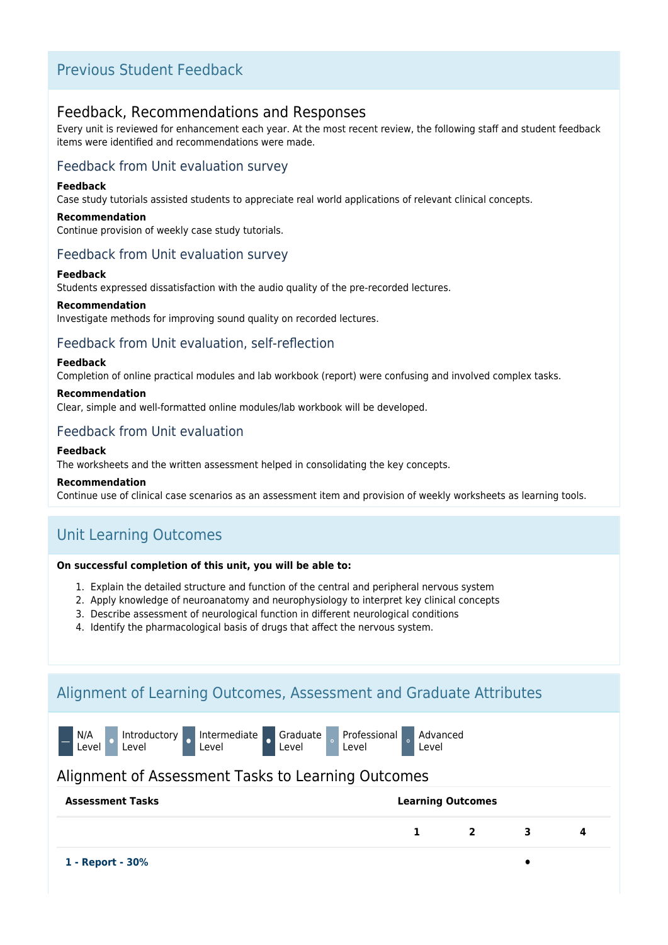# Previous Student Feedback

# Feedback, Recommendations and Responses

Every unit is reviewed for enhancement each year. At the most recent review, the following staff and student feedback items were identified and recommendations were made.

# Feedback from Unit evaluation survey

## **Feedback**

Case study tutorials assisted students to appreciate real world applications of relevant clinical concepts.

## **Recommendation**

Continue provision of weekly case study tutorials.

# Feedback from Unit evaluation survey

## **Feedback**

Students expressed dissatisfaction with the audio quality of the pre-recorded lectures.

## **Recommendation**

Investigate methods for improving sound quality on recorded lectures.

# Feedback from Unit evaluation, self-reflection

## **Feedback**

Completion of online practical modules and lab workbook (report) were confusing and involved complex tasks.

## **Recommendation**

Clear, simple and well-formatted online modules/lab workbook will be developed.

# Feedback from Unit evaluation

# **Feedback**

The worksheets and the written assessment helped in consolidating the key concepts.

## **Recommendation**

Continue use of clinical case scenarios as an assessment item and provision of weekly worksheets as learning tools.

# Unit Learning Outcomes

## **On successful completion of this unit, you will be able to:**

- 1. Explain the detailed structure and function of the central and peripheral nervous system
- 2. Apply knowledge of neuroanatomy and neurophysiology to interpret key clinical concepts
- 3. Describe assessment of neurological function in different neurological conditions
- 4. Identify the pharmacological basis of drugs that affect the nervous system.

# Alignment of Learning Outcomes, Assessment and Graduate Attributes









Advanced Level

# Alignment of Assessment Tasks to Learning Outcomes

| <b>Assessment Tasks</b>  | <b>Learning Outcomes</b> |                |   |   |
|--------------------------|--------------------------|----------------|---|---|
|                          |                          | $\overline{2}$ | 3 | А |
| - - - - -<br>_<br>$\sim$ |                          |                |   |   |

**1 - Report - 30%** ⚫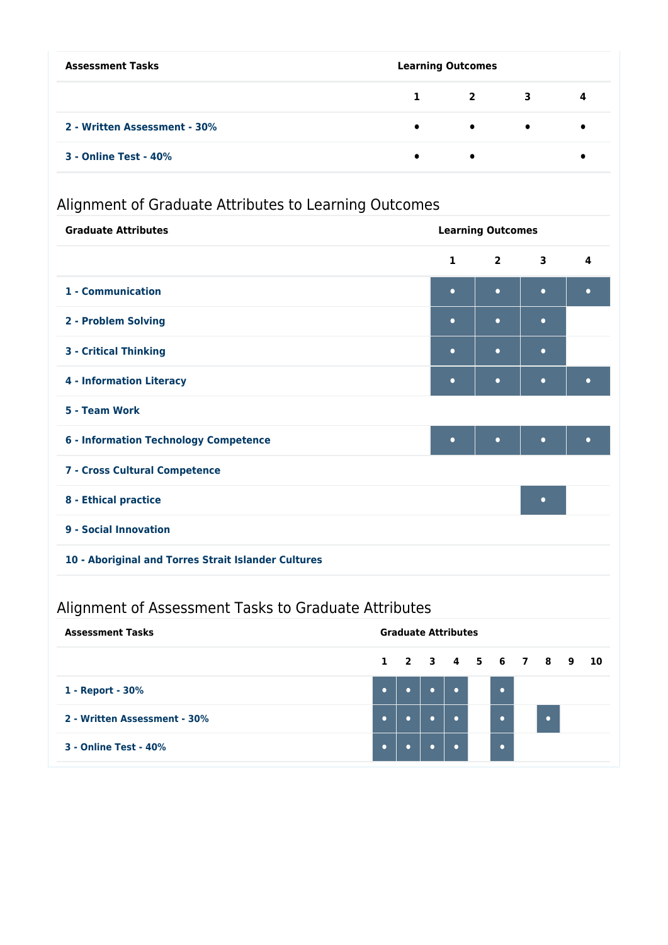| <b>Assessment Tasks</b>      | <b>Learning Outcomes</b> |                         |           |   |
|------------------------------|--------------------------|-------------------------|-----------|---|
|                              |                          | $\overline{\mathbf{2}}$ | 3         | 4 |
| 2 - Written Assessment - 30% | $\bullet$                | $\bullet$               | $\bullet$ |   |
| 3 - Online Test - 40%        | $\bullet$                | $\bullet$               |           |   |

# Alignment of Graduate Attributes to Learning Outcomes

| <b>Graduate Attributes</b>                          | <b>Learning Outcomes</b> |                         |                         |           |
|-----------------------------------------------------|--------------------------|-------------------------|-------------------------|-----------|
|                                                     | $\mathbf{1}$             | $\overline{\mathbf{2}}$ | $\overline{\mathbf{3}}$ | 4         |
| 1 - Communication                                   | $\bullet$                | $\bullet$               | $\bullet$               | $\bullet$ |
| 2 - Problem Solving                                 | $\bullet$                | $\bullet$               | $\bullet$               |           |
| <b>3 - Critical Thinking</b>                        | $\bullet$                | $\bullet$               | $\bullet$               |           |
| <b>4 - Information Literacy</b>                     | $\bullet$                | $\bullet$               | $\bullet$               | $\bullet$ |
| 5 - Team Work                                       |                          |                         |                         |           |
| <b>6 - Information Technology Competence</b>        | $\bullet$                | $\bullet$               | $\bullet$               | $\bullet$ |
| 7 - Cross Cultural Competence                       |                          |                         |                         |           |
| 8 - Ethical practice                                |                          |                         | $\bullet$               |           |
| 9 - Social Innovation                               |                          |                         |                         |           |
| 10 - Aboriginal and Torres Strait Islander Cultures |                          |                         |                         |           |

# Alignment of Assessment Tasks to Graduate Attributes

| <b>Assessment Tasks</b>      | <b>Graduate Attributes</b> |           |  |           |                      |                          |  |  |
|------------------------------|----------------------------|-----------|--|-----------|----------------------|--------------------------|--|--|
|                              |                            |           |  |           | 1 2 3 4 5 6 7 8 9 10 |                          |  |  |
| 1 - Report - 30%             |                            |           |  | $\bullet$ | ∣ •                  |                          |  |  |
| 2 - Written Assessment - 30% |                            | $\bullet$ |  | $\bullet$ | $\sim$               | $\overline{\phantom{a}}$ |  |  |
| <b>3 - Online Test - 40%</b> |                            |           |  | $\bullet$ | $\bullet$            |                          |  |  |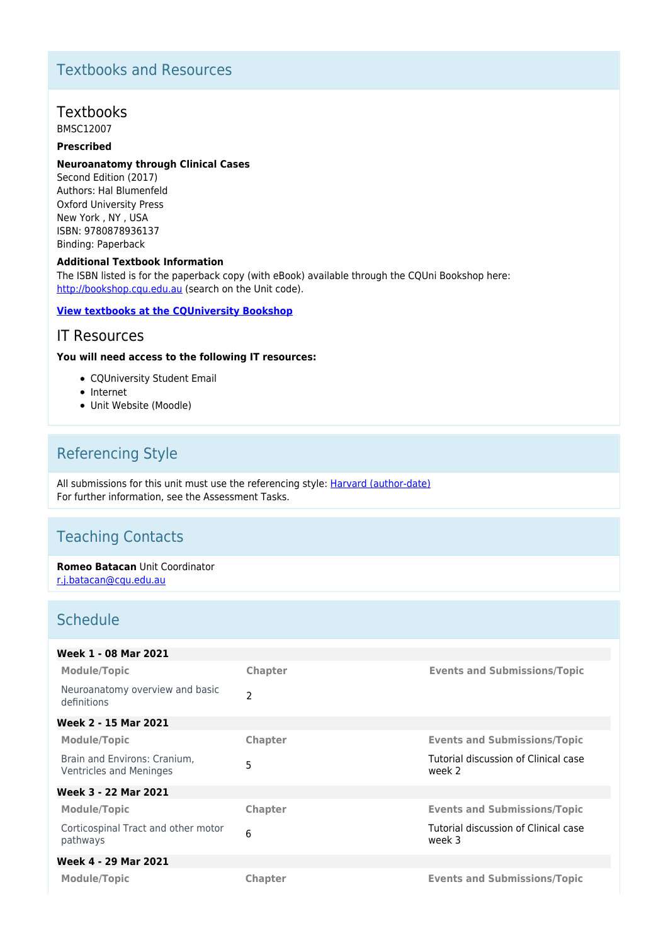# Textbooks and Resources

# Textbooks

BMSC12007

# **Prescribed**

## **Neuroanatomy through Clinical Cases**

Second Edition (2017) Authors: Hal Blumenfeld Oxford University Press New York , NY , USA ISBN: 9780878936137 Binding: Paperback

## **Additional Textbook Information**

The ISBN listed is for the paperback copy (with eBook) available through the CQUni Bookshop here: [http://bookshop.cqu.edu.au](http://bookshop.cqu.edu.au/) (search on the Unit code).

# **[View textbooks at the CQUniversity Bookshop](https://bookshop.cqu.edu.au/)**

# IT Resources

## **You will need access to the following IT resources:**

- CQUniversity Student Email
- Internet
- Unit Website (Moodle)

# Referencing Style

All submissions for this unit must use the referencing style: [Harvard \(author-date\)](https://delivery-cqucontenthub.stylelabs.cloud/api/public/content/harvard-referencing-style.pdf?v=306efe7e) For further information, see the Assessment Tasks.

# Teaching Contacts

**Romeo Batacan** Unit Coordinator [r.j.batacan@cqu.edu.au](mailto:r.j.batacan@cqu.edu.au)

# **Schedule**

| Week 1 - 08 Mar 2021                                           |                |                                                |
|----------------------------------------------------------------|----------------|------------------------------------------------|
| <b>Module/Topic</b>                                            | <b>Chapter</b> | <b>Events and Submissions/Topic</b>            |
| Neuroanatomy overview and basic<br>definitions                 | $\overline{2}$ |                                                |
| Week 2 - 15 Mar 2021                                           |                |                                                |
| Module/Topic                                                   | <b>Chapter</b> | <b>Events and Submissions/Topic</b>            |
| Brain and Environs: Cranium.<br><b>Ventricles and Meninges</b> | 5              | Tutorial discussion of Clinical case<br>week 2 |
| Week 3 - 22 Mar 2021                                           |                |                                                |
| Module/Topic                                                   | <b>Chapter</b> | <b>Events and Submissions/Topic</b>            |
| Corticospinal Tract and other motor<br>pathways                | 6              | Tutorial discussion of Clinical case<br>week 3 |
| Week 4 - 29 Mar 2021                                           |                |                                                |
| Module/Topic                                                   | <b>Chapter</b> | <b>Events and Submissions/Topic</b>            |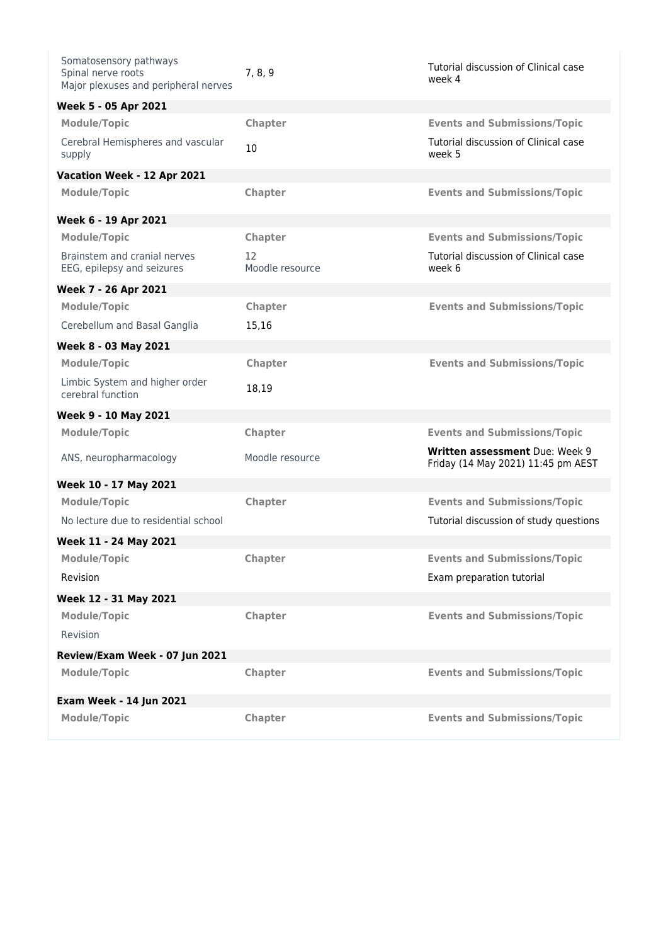| Somatosensory pathways<br>Spinal nerve roots<br>Major plexuses and peripheral nerves | 7, 8, 9               | Tutorial discussion of Clinical case<br>week 4                       |
|--------------------------------------------------------------------------------------|-----------------------|----------------------------------------------------------------------|
| Week 5 - 05 Apr 2021                                                                 |                       |                                                                      |
| <b>Module/Topic</b>                                                                  | Chapter               | <b>Events and Submissions/Topic</b>                                  |
| Cerebral Hemispheres and vascular<br>supply                                          | 10                    | Tutorial discussion of Clinical case<br>week 5                       |
| Vacation Week - 12 Apr 2021                                                          |                       |                                                                      |
| <b>Module/Topic</b>                                                                  | Chapter               | <b>Events and Submissions/Topic</b>                                  |
| Week 6 - 19 Apr 2021                                                                 |                       |                                                                      |
| <b>Module/Topic</b>                                                                  | Chapter               | <b>Events and Submissions/Topic</b>                                  |
| Brainstem and cranial nerves<br>EEG, epilepsy and seizures                           | 12<br>Moodle resource | Tutorial discussion of Clinical case<br>week 6                       |
| Week 7 - 26 Apr 2021                                                                 |                       |                                                                      |
| <b>Module/Topic</b>                                                                  | Chapter               | <b>Events and Submissions/Topic</b>                                  |
| Cerebellum and Basal Ganglia                                                         | 15,16                 |                                                                      |
| Week 8 - 03 May 2021                                                                 |                       |                                                                      |
| <b>Module/Topic</b>                                                                  | Chapter               | <b>Events and Submissions/Topic</b>                                  |
| Limbic System and higher order<br>cerebral function                                  | 18,19                 |                                                                      |
| Week 9 - 10 May 2021                                                                 |                       |                                                                      |
| <b>Module/Topic</b>                                                                  | <b>Chapter</b>        | <b>Events and Submissions/Topic</b>                                  |
| ANS, neuropharmacology                                                               | Moodle resource       | Written assessment Due: Week 9<br>Friday (14 May 2021) 11:45 pm AEST |
| Week 10 - 17 May 2021                                                                |                       |                                                                      |
| <b>Module/Topic</b>                                                                  | Chapter               | <b>Events and Submissions/Topic</b>                                  |
| No lecture due to residential school                                                 |                       | Tutorial discussion of study questions                               |
| Week 11 - 24 May 2021                                                                |                       |                                                                      |
| <b>Module/Topic</b>                                                                  | <b>Chapter</b>        | <b>Events and Submissions/Topic</b>                                  |
| Revision                                                                             |                       | Exam preparation tutorial                                            |
| Week 12 - 31 May 2021                                                                |                       |                                                                      |
| <b>Module/Topic</b>                                                                  | Chapter               | <b>Events and Submissions/Topic</b>                                  |
| Revision                                                                             |                       |                                                                      |
| Review/Exam Week - 07 Jun 2021                                                       |                       |                                                                      |
| <b>Module/Topic</b>                                                                  | Chapter               | <b>Events and Submissions/Topic</b>                                  |
| <b>Exam Week - 14 Jun 2021</b>                                                       |                       |                                                                      |
| <b>Module/Topic</b>                                                                  | Chapter               | <b>Events and Submissions/Topic</b>                                  |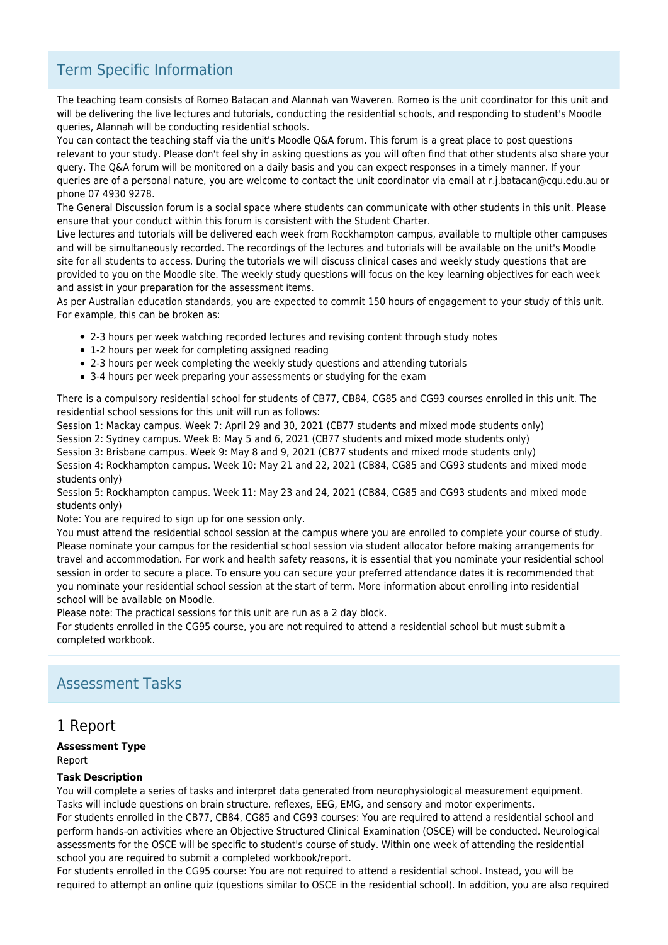# Term Specific Information

The teaching team consists of Romeo Batacan and Alannah van Waveren. Romeo is the unit coordinator for this unit and will be delivering the live lectures and tutorials, conducting the residential schools, and responding to student's Moodle queries, Alannah will be conducting residential schools.

You can contact the teaching staff via the unit's Moodle Q&A forum. This forum is a great place to post questions relevant to your study. Please don't feel shy in asking questions as you will often find that other students also share your query. The Q&A forum will be monitored on a daily basis and you can expect responses in a timely manner. If your queries are of a personal nature, you are welcome to contact the unit coordinator via email at r.j.batacan@cqu.edu.au or phone 07 4930 9278.

The General Discussion forum is a social space where students can communicate with other students in this unit. Please ensure that your conduct within this forum is consistent with the Student Charter.

Live lectures and tutorials will be delivered each week from Rockhampton campus, available to multiple other campuses and will be simultaneously recorded. The recordings of the lectures and tutorials will be available on the unit's Moodle site for all students to access. During the tutorials we will discuss clinical cases and weekly study questions that are provided to you on the Moodle site. The weekly study questions will focus on the key learning objectives for each week and assist in your preparation for the assessment items.

As per Australian education standards, you are expected to commit 150 hours of engagement to your study of this unit. For example, this can be broken as:

- 2-3 hours per week watching recorded lectures and revising content through study notes
- 1-2 hours per week for completing assigned reading
- 2-3 hours per week completing the weekly study questions and attending tutorials
- 3-4 hours per week preparing your assessments or studying for the exam

There is a compulsory residential school for students of CB77, CB84, CG85 and CG93 courses enrolled in this unit. The residential school sessions for this unit will run as follows:

Session 1: Mackay campus. Week 7: April 29 and 30, 2021 (CB77 students and mixed mode students only)

Session 2: Sydney campus. Week 8: May 5 and 6, 2021 (CB77 students and mixed mode students only)

Session 3: Brisbane campus. Week 9: May 8 and 9, 2021 (CB77 students and mixed mode students only) Session 4: Rockhampton campus. Week 10: May 21 and 22, 2021 (CB84, CG85 and CG93 students and mixed mode students only)

Session 5: Rockhampton campus. Week 11: May 23 and 24, 2021 (CB84, CG85 and CG93 students and mixed mode students only)

Note: You are required to sign up for one session only.

You must attend the residential school session at the campus where you are enrolled to complete your course of study. Please nominate your campus for the residential school session via student allocator before making arrangements for travel and accommodation. For work and health safety reasons, it is essential that you nominate your residential school session in order to secure a place. To ensure you can secure your preferred attendance dates it is recommended that you nominate your residential school session at the start of term. More information about enrolling into residential school will be available on Moodle.

Please note: The practical sessions for this unit are run as a 2 day block.

For students enrolled in the CG95 course, you are not required to attend a residential school but must submit a completed workbook.

# Assessment Tasks

# 1 Report

**Assessment Type** Report

# **Task Description**

You will complete a series of tasks and interpret data generated from neurophysiological measurement equipment. Tasks will include questions on brain structure, reflexes, EEG, EMG, and sensory and motor experiments. For students enrolled in the CB77, CB84, CG85 and CG93 courses: You are required to attend a residential school and perform hands-on activities where an Objective Structured Clinical Examination (OSCE) will be conducted. Neurological assessments for the OSCE will be specific to student's course of study. Within one week of attending the residential school you are required to submit a completed workbook/report.

For students enrolled in the CG95 course: You are not required to attend a residential school. Instead, you will be required to attempt an online quiz (questions similar to OSCE in the residential school). In addition, you are also required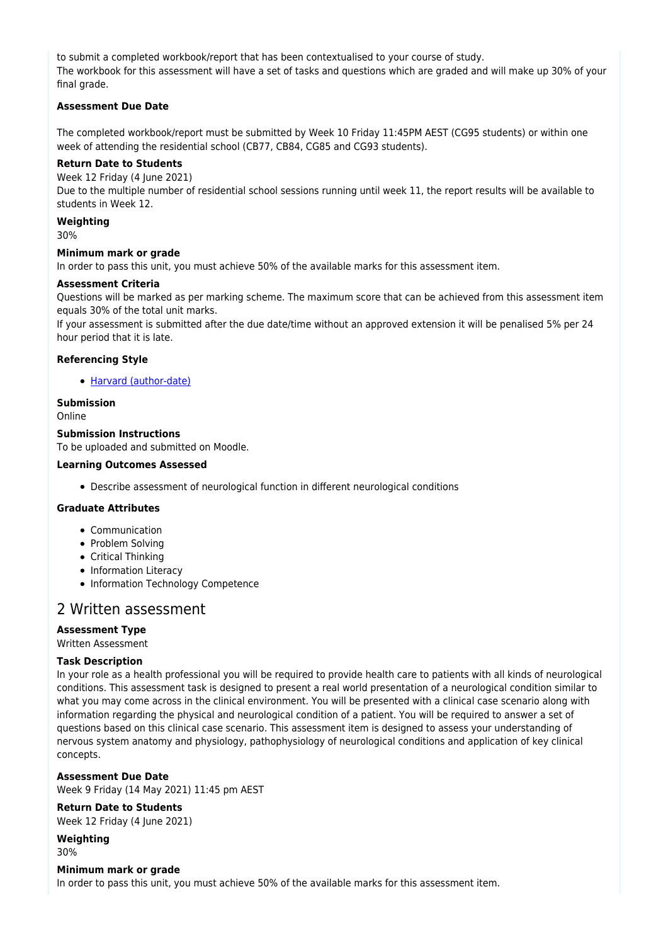to submit a completed workbook/report that has been contextualised to your course of study. The workbook for this assessment will have a set of tasks and questions which are graded and will make up 30% of your final grade.

# **Assessment Due Date**

The completed workbook/report must be submitted by Week 10 Friday 11:45PM AEST (CG95 students) or within one week of attending the residential school (CB77, CB84, CG85 and CG93 students).

## **Return Date to Students**

Week 12 Friday (4 June 2021) Due to the multiple number of residential school sessions running until week 11, the report results will be available to students in Week 12.

# **Weighting**

30%

# **Minimum mark or grade**

In order to pass this unit, you must achieve 50% of the available marks for this assessment item.

## **Assessment Criteria**

Questions will be marked as per marking scheme. The maximum score that can be achieved from this assessment item equals 30% of the total unit marks.

If your assessment is submitted after the due date/time without an approved extension it will be penalised 5% per 24 hour period that it is late.

## **Referencing Style**

[Harvard \(author-date\)](https://delivery-cqucontenthub.stylelabs.cloud/api/public/content/harvard-referencing-style.pdf?v=306efe7e)

## **Submission**

Online

#### **Submission Instructions**

To be uploaded and submitted on Moodle.

## **Learning Outcomes Assessed**

Describe assessment of neurological function in different neurological conditions

# **Graduate Attributes**

- Communication
- Problem Solving
- Critical Thinking
- Information Literacy
- Information Technology Competence

# 2 Written assessment

# **Assessment Type**

Written Assessment

## **Task Description**

In your role as a health professional you will be required to provide health care to patients with all kinds of neurological conditions. This assessment task is designed to present a real world presentation of a neurological condition similar to what you may come across in the clinical environment. You will be presented with a clinical case scenario along with information regarding the physical and neurological condition of a patient. You will be required to answer a set of questions based on this clinical case scenario. This assessment item is designed to assess your understanding of nervous system anatomy and physiology, pathophysiology of neurological conditions and application of key clinical concepts.

## **Assessment Due Date**

Week 9 Friday (14 May 2021) 11:45 pm AEST

## **Return Date to Students**

Week 12 Friday (4 June 2021)

# **Weighting**

30%

#### **Minimum mark or grade**

In order to pass this unit, you must achieve 50% of the available marks for this assessment item.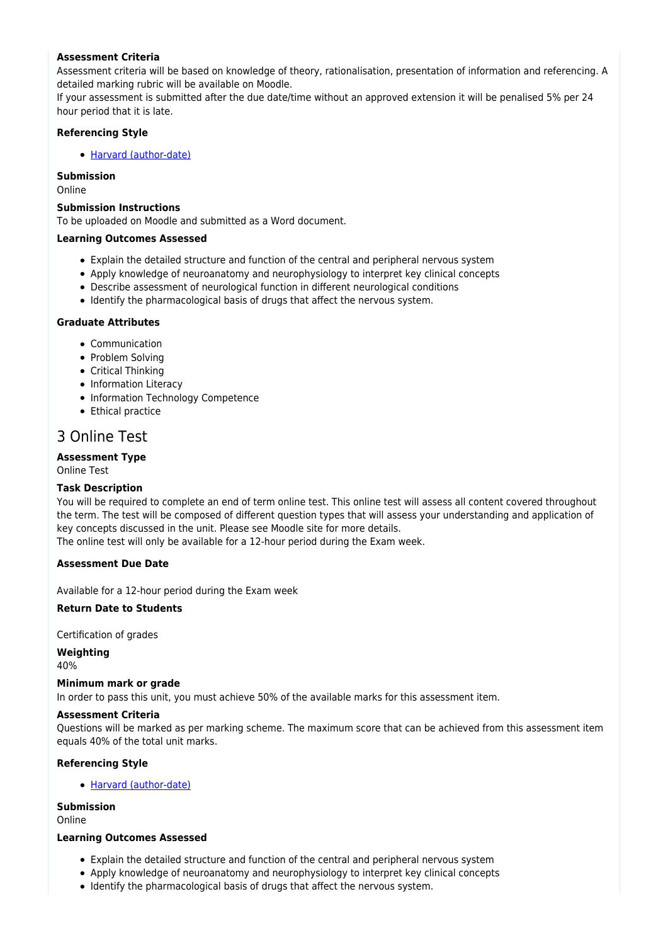## **Assessment Criteria**

Assessment criteria will be based on knowledge of theory, rationalisation, presentation of information and referencing. A detailed marking rubric will be available on Moodle.

If your assessment is submitted after the due date/time without an approved extension it will be penalised 5% per 24 hour period that it is late.

## **Referencing Style**

[Harvard \(author-date\)](https://delivery-cqucontenthub.stylelabs.cloud/api/public/content/harvard-referencing-style.pdf?v=306efe7e)

# **Submission**

Online

## **Submission Instructions**

To be uploaded on Moodle and submitted as a Word document.

## **Learning Outcomes Assessed**

- Explain the detailed structure and function of the central and peripheral nervous system
- Apply knowledge of neuroanatomy and neurophysiology to interpret key clinical concepts
- Describe assessment of neurological function in different neurological conditions
- Identify the pharmacological basis of drugs that affect the nervous system.

## **Graduate Attributes**

- Communication
- Problem Solving
- Critical Thinking
- Information Literacy
- Information Technology Competence
- Ethical practice

# 3 Online Test

## **Assessment Type**

Online Test

## **Task Description**

You will be required to complete an end of term online test. This online test will assess all content covered throughout the term. The test will be composed of different question types that will assess your understanding and application of key concepts discussed in the unit. Please see Moodle site for more details.

The online test will only be available for a 12-hour period during the Exam week.

## **Assessment Due Date**

Available for a 12-hour period during the Exam week

## **Return Date to Students**

Certification of grades

**Weighting**

40%

## **Minimum mark or grade**

In order to pass this unit, you must achieve 50% of the available marks for this assessment item.

## **Assessment Criteria**

Questions will be marked as per marking scheme. The maximum score that can be achieved from this assessment item equals 40% of the total unit marks.

## **Referencing Style**

[Harvard \(author-date\)](https://delivery-cqucontenthub.stylelabs.cloud/api/public/content/harvard-referencing-style.pdf?v=306efe7e)

## **Submission**

Online

## **Learning Outcomes Assessed**

- Explain the detailed structure and function of the central and peripheral nervous system
- Apply knowledge of neuroanatomy and neurophysiology to interpret key clinical concepts
- Identify the pharmacological basis of drugs that affect the nervous system.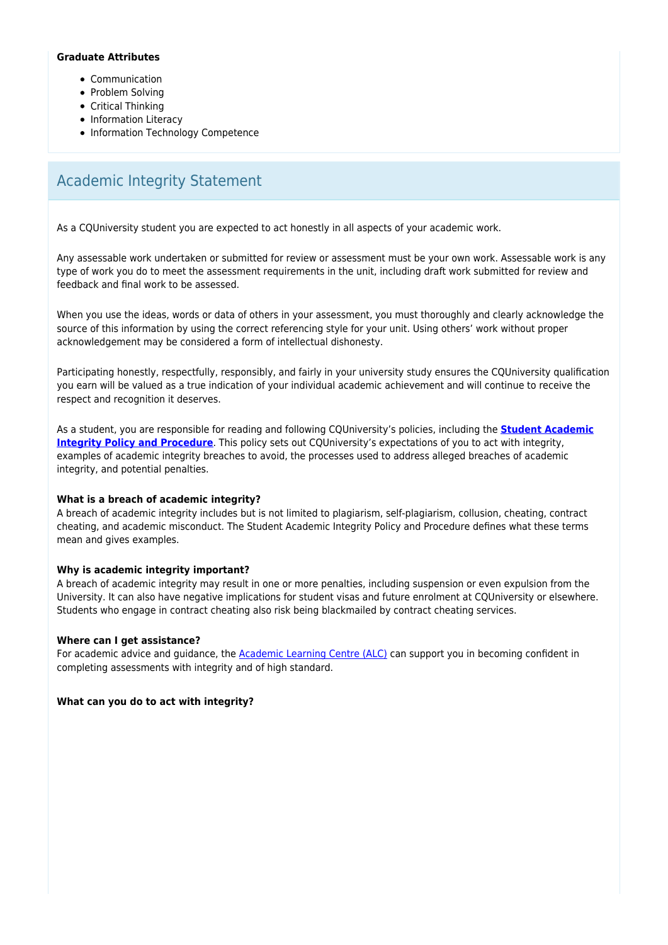# **Graduate Attributes**

- Communication
- Problem Solving
- Critical Thinking
- Information Literacy
- Information Technology Competence

# Academic Integrity Statement

As a CQUniversity student you are expected to act honestly in all aspects of your academic work.

Any assessable work undertaken or submitted for review or assessment must be your own work. Assessable work is any type of work you do to meet the assessment requirements in the unit, including draft work submitted for review and feedback and final work to be assessed.

When you use the ideas, words or data of others in your assessment, you must thoroughly and clearly acknowledge the source of this information by using the correct referencing style for your unit. Using others' work without proper acknowledgement may be considered a form of intellectual dishonesty.

Participating honestly, respectfully, responsibly, and fairly in your university study ensures the CQUniversity qualification you earn will be valued as a true indication of your individual academic achievement and will continue to receive the respect and recognition it deserves.

As a student, you are responsible for reading and following CQUniversity's policies, including the **[Student Academic](https://www.cqu.edu.au/policy/sharepoint-document-download?file_uri={BE8380F3-F86D-4C55-AC0D-84A81EAFD6A2}/Student%20Academic%20Integrity%20Policy%20and%20Procedure%20(formerly%20known%20as%20the%20Academic%20Misconduct%20Procedure).pdf) [Integrity Policy and Procedure](https://www.cqu.edu.au/policy/sharepoint-document-download?file_uri={BE8380F3-F86D-4C55-AC0D-84A81EAFD6A2}/Student%20Academic%20Integrity%20Policy%20and%20Procedure%20(formerly%20known%20as%20the%20Academic%20Misconduct%20Procedure).pdf)**. This policy sets out CQUniversity's expectations of you to act with integrity, examples of academic integrity breaches to avoid, the processes used to address alleged breaches of academic integrity, and potential penalties.

## **What is a breach of academic integrity?**

A breach of academic integrity includes but is not limited to plagiarism, self-plagiarism, collusion, cheating, contract cheating, and academic misconduct. The Student Academic Integrity Policy and Procedure defines what these terms mean and gives examples.

## **Why is academic integrity important?**

A breach of academic integrity may result in one or more penalties, including suspension or even expulsion from the University. It can also have negative implications for student visas and future enrolment at CQUniversity or elsewhere. Students who engage in contract cheating also risk being blackmailed by contract cheating services.

## **Where can I get assistance?**

For academic advice and guidance, the **Academic Learning Centre (ALC)** can support you in becoming confident in completing assessments with integrity and of high standard.

## **What can you do to act with integrity?**